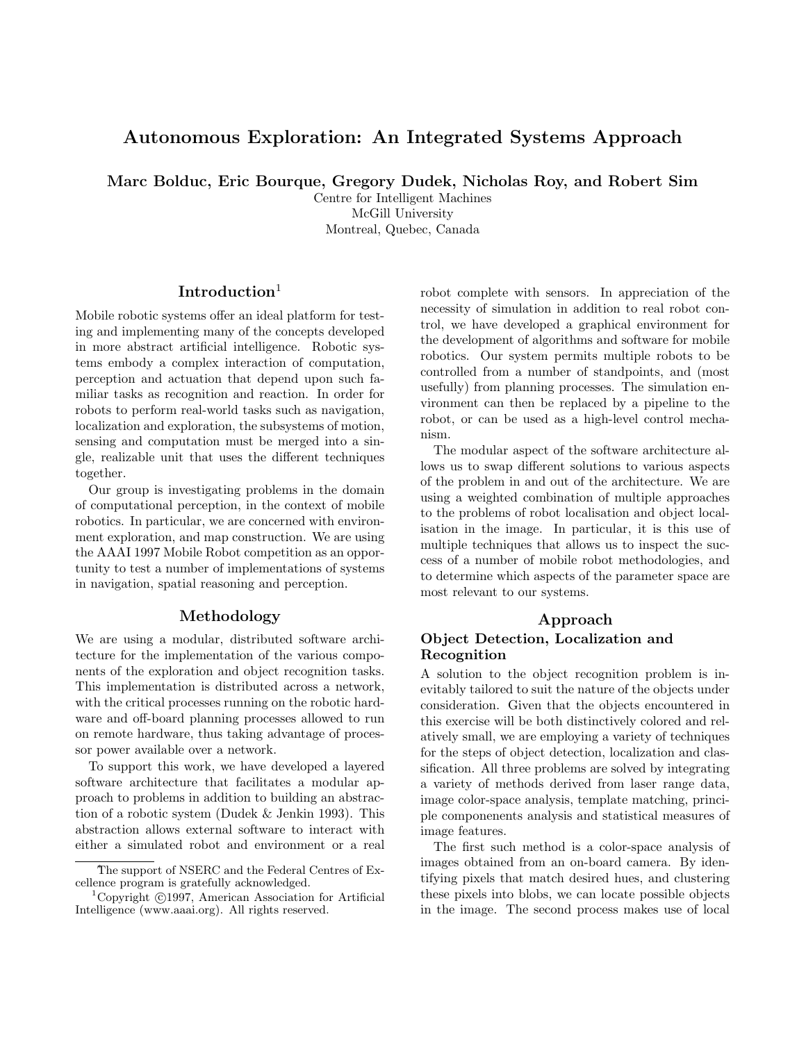# Autonomous Exploration: An Integrated Systems Approach

Marc Bolduc, Eric Bourque, Gregory Dudek, Nicholas Roy, and Robert Sim

Centre for Intelligent Machines McGill University Montreal, Quebec, Canada

# Introduction<sup>1</sup>

Mobile robotic systems offer an ideal platform for testing and implementing many of the concepts developed in more abstract artificial intelligence. Robotic systems embody a complex interaction of computation, perception and actuation that depend upon such familiar tasks as recognition and reaction. In order for robots to perform real-world tasks such as navigation, localization and exploration, the subsystems of motion, sensing and computation must be merged into a single, realizable unit that uses the different techniques together.

Our group is investigating problems in the domain of computational perception, in the context of mobile robotics. In particular, we are concerned with environment exploration, and map construction. We are using the AAAI 1997 Mobile Robot competition as an opportunity to test a number of implementations of systems in navigation, spatial reasoning and perception.

#### Methodology

We are using a modular, distributed software architecture for the implementation of the various components of the exploration and object recognition tasks. This implementation is distributed across a network, with the critical processes running on the robotic hardware and off-board planning processes allowed to run on remote hardware, thus taking advantage of processor power available over a network.

To support this work, we have developed a layered software architecture that facilitates a modular approach to problems in addition to building an abstraction of a robotic system (Dudek & Jenkin 1993). This abstraction allows external software to interact with either a simulated robot and environment or a real robot complete with sensors. In appreciation of the necessity of simulation in addition to real robot control, we have developed a graphical environment for the development of algorithms and software for mobile robotics. Our system permits multiple robots to be controlled from a number of standpoints, and (most usefully) from planning processes. The simulation environment can then be replaced by a pipeline to the robot, or can be used as a high-level control mechanism.

The modular aspect of the software architecture allows us to swap different solutions to various aspects of the problem in and out of the architecture. We are using a weighted combination of multiple approaches to the problems of robot localisation and object localisation in the image. In particular, it is this use of multiple techniques that allows us to inspect the success of a number of mobile robot methodologies, and to determine which aspects of the parameter space are most relevant to our systems.

#### Approach

### Object Detection, Localization and Recognition

A solution to the object recognition problem is inevitably tailored to suit the nature of the objects under consideration. Given that the objects encountered in this exercise will be both distinctively colored and relatively small, we are employing a variety of techniques for the steps of object detection, localization and classification. All three problems are solved by integrating a variety of methods derived from laser range data, image color-space analysis, template matching, principle componenents analysis and statistical measures of image features.

The first such method is a color-space analysis of images obtained from an on-board camera. By identifying pixels that match desired hues, and clustering these pixels into blobs, we can locate possible objects in the image. The second process makes use of local

The support of NSERC and the Federal Centres of Excellence program is gratefully acknowledged.

Copyright ©1997, American Association for Artificial Intelligence (www.aaai.org). All rights reserved.